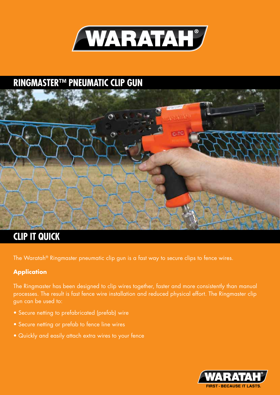

### **RINGMASTER™ PNEUMATIC CLIP GUN**



### **CLIP IT QUICK**

The Waratah® Ringmaster pneumatic clip gun is a fast way to secure clips to fence wires.

### **Application**

The Ringmaster has been designed to clip wires together, faster and more consistently than manual processes. The result is fast fence wire installation and reduced physical effort. The Ringmaster clip gun can be used to:

- Secure netting to prefabricated (prefab) wire
- Secure netting or prefab to fence line wires
- Quickly and easily attach extra wires to your fence